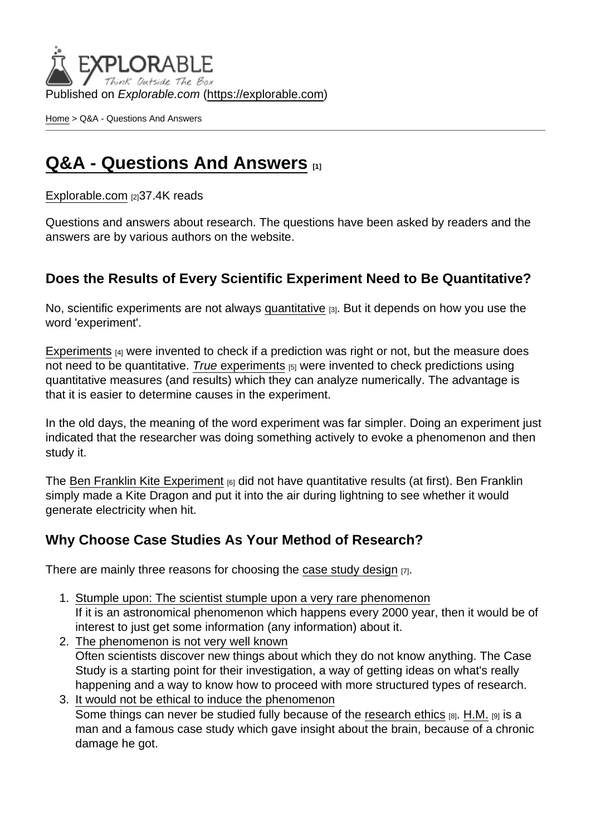Published on Explorable.com (<https://explorable.com>)

[Home](https://explorable.com/) > Q&A - Questions And Answers

# [Q&A - Questions And Answers](https://explorable.com/questions-and-answers) [1]

[Explorable.com](https://explorable.com/) [2] 37.4K reads

Questions and answers about research. The questions have been asked by readers and the answers are by various authors on the website.

### Does the Results of Every Scientific Experiment Need to Be Quantitative?

No, scientific experiments are not always [quantitative](https://explorable.com/quantitative-research-design) [3]. But it depends on how you use the word 'experiment'.

[Experiments](https://explorable.com/conducting-an-experiment)  $[4]$  were invented to check if a prediction was right or not, but the measure does not need to be quantitative. [True experim](https://explorable.com/true-experimental-design)ents  $_{[5]}$  were invented to check predictions using quantitative measures (and results) which they can analyze numerically. The advantage is that it is easier to determine causes in the experiment.

In the old days, the meaning of the word experiment was far simpler. Doing an experiment just indicated that the researcher was doing something actively to evoke a phenomenon and then study it.

The [Ben Franklin Kite Experiment](https://explorable.com/ben-franklin-kite-experiment) [6] did not have quantitative results (at first). Ben Franklin simply made a Kite Dragon and put it into the air during lightning to see whether it would generate electricity when hit.

#### Why Choose Case Studies As Your Method of Research?

There are mainly three reasons for choosing the [case study design](https://explorable.com/case-study-research-design)  $[7]$ .

- 1. Stumple upon: The scientist stumple upon a very rare phenomenon If it is an astronomical phenomenon which happens every 2000 year, then it would be of interest to just get some information (any information) about it.
- 2. The phenomenon is not very well known Often scientists discover new things about which they do not know anything. The Case Study is a starting point for their investigation, a way of getting ideas on what's really happening and a way to know how to proceed with more structured types of research.
- 3. It would not be ethical to induce the phenomenon Some things can never be studied fully because of the [research ethics](https://explorable.com/ethics-in-research) [8]. [H.M.](http://en.wikipedia.org/wiki/HM_(patient)) [9] is a man and a famous case study which gave insight about the brain, because of a chronic damage he got.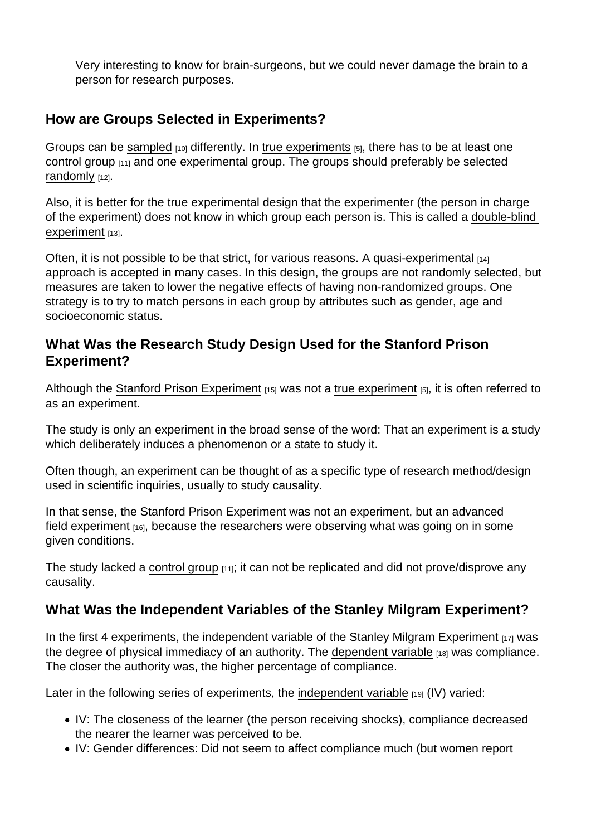Very interesting to know for brain-surgeons, but we could never damage the brain to a person for research purposes.

#### How are Groups Selected in Experiments?

Groups can be [sampled](https://explorable.com/what-is-sampling)  $_{[10]}$  differently. In [true experiments](https://explorable.com/true-experimental-design)  $_{[5]}$ , there has to be at least one [control group](https://explorable.com/scientific-control-group) [11] and one experimental group. The groups should preferably be [selected](https://explorable.com/probability-sampling)  [randomly](https://explorable.com/probability-sampling) [12].

Also, it is better for the true experimental design that the experimenter (the person in charge of the experiment) does not know in which group each person is. This is called a [double-blind](https://explorable.com/double-blind-experiment)  [experiment](https://explorable.com/double-blind-experiment) [13].

Often, it is not possible to be that strict, for various reasons. A [quasi-experimental](https://explorable.com/quasi-experimental-design)  $_{141}$ approach is accepted in many cases. In this design, the groups are not randomly selected, but measures are taken to lower the negative effects of having non-randomized groups. One strategy is to try to match persons in each group by attributes such as gender, age and socioeconomic status.

## What Was the Research Study Design Used for the Stanford Prison Experiment?

Although the [Stanford Prison Experiment](https://explorable.com/stanford-prison-experiment)  $[15]$  was not a [true experiment](https://explorable.com/true-experimental-design)  $[5]$ , it is often referred to as an experiment.

The study is only an experiment in the broad sense of the word: That an experiment is a study which deliberately induces a phenomenon or a state to study it.

Often though, an experiment can be thought of as a specific type of research method/design used in scientific inquiries, usually to study causality.

In that sense, the Stanford Prison Experiment was not an experiment, but an advanced [field experiment](https://explorable.com/field-experiments) [16], because the researchers were observing what was going on in some given conditions.

The study lacked a [control group](https://explorable.com/scientific-control-group)  $_{[11]}$ ; it can not be replicated and did not prove/disprove any causality.

# What Was the Independent Variables of the Stanley Milgram Experiment?

In the first 4 experiments, the independent variable of the [Stanley Milgram Experiment](https://explorable.com/stanley-milgram-experiment)  $_{[17]}$  was the degree of physical immediacy of an authority. The [dependent variable](https://explorable.com/dependent-variable) [18] was compliance. The closer the authority was, the higher percentage of compliance.

Later in the following series of experiments, the [independent variable](https://explorable.com/independent-variable) [19] (IV) varied:

- IV: The closeness of the learner (the person receiving shocks), compliance decreased the nearer the learner was perceived to be.
- IV: Gender differences: Did not seem to affect compliance much (but women report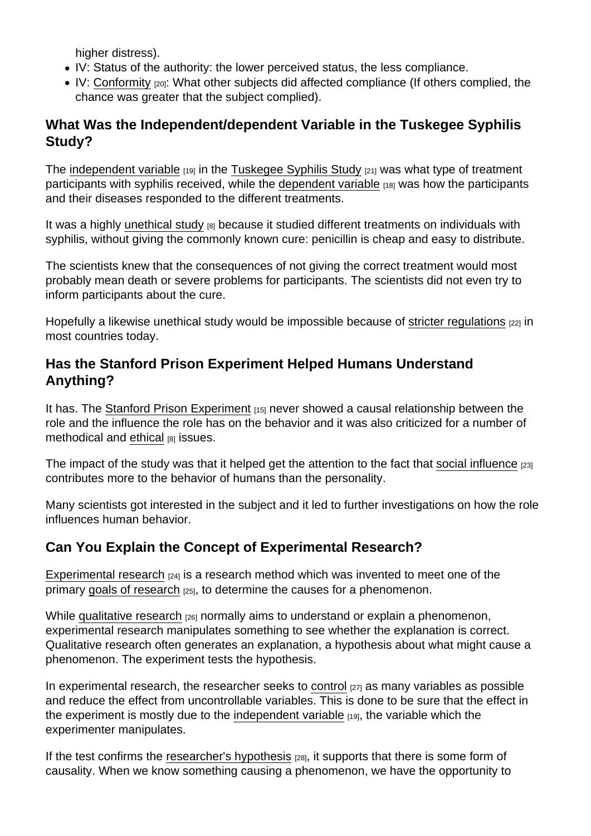higher distress).

- IV: Status of the authority: the lower perceived status, the less compliance.
- IV: [Conformity](https://explorable.com/asch-experiment) [20]: What other subjects did affected compliance (If others complied, the chance was greater that the subject complied).

# What Was the Independent/dependent Variable in the Tuskegee Syphilis Study?

The [independent variable](https://explorable.com/independent-variable)  $[19]$  in the [Tuskegee Syphilis Study](https://explorable.com/tuskegee-syphilis-study)  $[21]$  was what type of treatment participants with syphilis received, while the [dependent variable](https://explorable.com/dependent-variable) [18] was how the participants and their diseases responded to the different treatments.

It was a highly [unethical study](https://explorable.com/ethics-in-research)  $[8]$  because it studied different treatments on individuals with syphilis, without giving the commonly known cure: penicillin is cheap and easy to distribute.

The scientists knew that the consequences of not giving the correct treatment would most probably mean death or severe problems for participants. The scientists did not even try to inform participants about the cure.

Hopefully a likewise unethical study would be impossible because of [stricter regulations](https://explorable.com/research-regulations) [22] in most countries today.

### Has the Stanford Prison Experiment Helped Humans Understand Anything?

It has. The [Stanford Prison Experiment](https://explorable.com/stanford-prison-experiment) [15] never showed a causal relationship between the role and the influence the role has on the behavior and it was also criticized for a number of methodical and [ethical](https://explorable.com/ethics-in-research) [8] issues.

The impact of the study was that it helped get the attention to the fact that [social influence](https://explorable.com/social-psychology-experiments) [23] contributes more to the behavior of humans than the personality.

Many scientists got interested in the subject and it led to further investigations on how the role influences human behavior.

# Can You Explain the Concept of Experimental Research?

[Experimental research](https://explorable.com/experimental-research)  $1241$  is a research method which was invented to meet one of the primary [goals of research](https://explorable.com/aims-of-research) [25], to determine the causes for a phenomenon.

While [qualitative research](https://explorable.com/qualitative-research-design) [26] normally aims to understand or explain a phenomenon, experimental research manipulates something to see whether the explanation is correct. Qualitative research often generates an explanation, a hypothesis about what might cause a phenomenon. The experiment tests the hypothesis.

In experimental research, the researcher seeks to [control](https://explorable.com/controlled-variables)  $[27]$  as many variables as possible and reduce the effect from uncontrollable variables. This is done to be sure that the effect in the experiment is mostly due to the [independent variable](https://explorable.com/independent-variable) [19], the variable which the experimenter manipulates.

If the test confirms the [researcher's hypothesis](https://explorable.com/research-hypothesis) [28], it supports that there is some form of causality. When we know something causing a phenomenon, we have the opportunity to